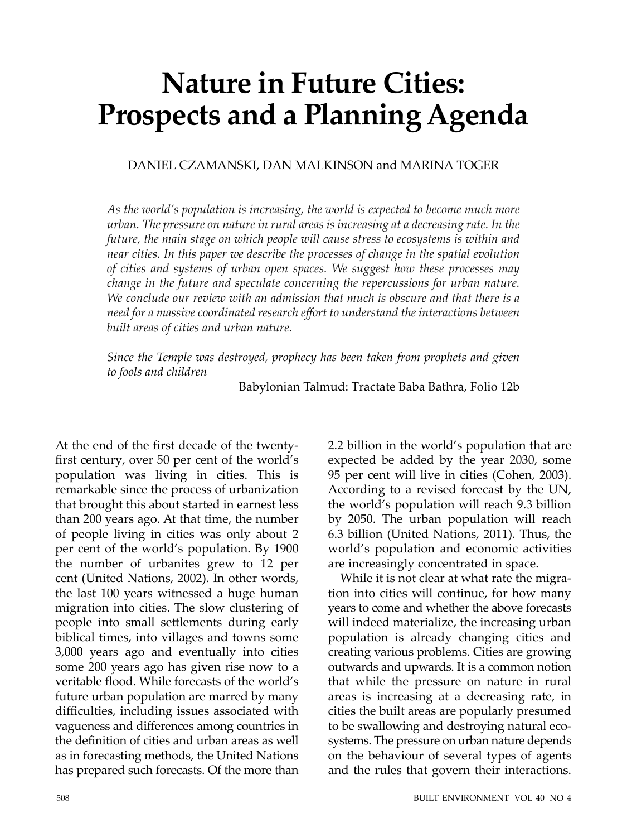# **Nature in Future Cities: Prospects and a Planning Agenda**

DANIEL CZAMANSKI, DAN MALKINSON and MARINA TOGER

*As the world's population is increasing, the world is expected to become much more urban. The pressure on nature in rural areas is increasing at a decreasing rate. In the future, the main stage on which people will cause stress to ecosystems is within and near cities. In this paper we describe the processes of change in the spatial evolution of cities and systems of urban open spaces. We suggest how these processes may change in the future and speculate concerning the repercussions for urban nature. We conclude our review with an admission that much is obscure and that there is a need for a massive coordinated research eff ort to understand the interactions between built areas of cities and urban nature.*

*Since the Temple was destroyed, prophecy has been taken from prophets and given to fools and children*

Babylonian Talmud: Tractate Baba Bathra, Folio 12b

At the end of the first decade of the twentyfirst century, over 50 per cent of the world's population was living in cities. This is remarkable since the process of urbanization that brought this about started in earnest less than 200 years ago. At that time, the number of people living in cities was only about 2 per cent of the world's population. By 1900 the number of urbanites grew to 12 per cent (United Nations, 2002). In other words, the last 100 years witnessed a huge human migration into cities. The slow clustering of people into small settlements during early biblical times, into villages and towns some 3,000 years ago and eventually into cities some 200 years ago has given rise now to a veritable flood. While forecasts of the world's future urban population are marred by many difficulties, including issues associated with vagueness and differences among countries in the definition of cities and urban areas as well as in forecasting methods, the United Nations has prepared such forecasts. Of the more than

2.2 billion in the world's population that are expected be added by the year 2030, some 95 per cent will live in cities (Cohen, 2003). According to a revised forecast by the UN, the world's population will reach 9.3 billion by 2050. The urban population will reach 6.3 billion (United Nations, 2011). Thus, the world's population and economic activities are increasingly concentrated in space.

While it is not clear at what rate the migration into cities will continue, for how many years to come and whether the above forecasts will indeed materialize, the increasing urban population is already changing cities and creating various problems. Cities are growing outwards and upwards. It is a common notion that while the pressure on nature in rural areas is increasing at a decreasing rate, in cities the built areas are popularly presumed to be swallowing and destroying natural ecosystems. The pressure on urban nature depends on the behaviour of several types of agents and the rules that govern their interactions.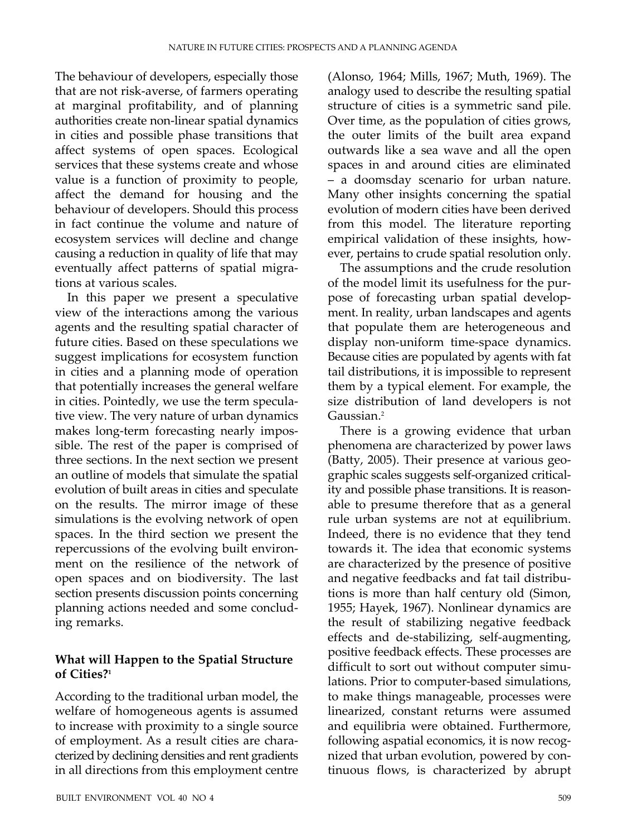The behaviour of developers, especially those that are not risk-averse, of farmers operating at marginal profitability, and of planning authorities create non-linear spatial dynamics in cities and possible phase transitions that affect systems of open spaces. Ecological services that these systems create and whose value is a function of proximity to people, affect the demand for housing and the behaviour of developers. Should this process in fact continue the volume and nature of ecosystem services will decline and change causing a reduction in quality of life that may eventually affect patterns of spatial migrations at various scales.

In this paper we present a speculative view of the interactions among the various agents and the resulting spatial character of future cities. Based on these speculations we suggest implications for ecosystem function in cities and a planning mode of operation that potentially increases the general welfare in cities. Pointedly, we use the term speculative view. The very nature of urban dynamics makes long-term forecasting nearly impossible. The rest of the paper is comprised of three sections. In the next section we present an outline of models that simulate the spatial evolution of built areas in cities and speculate on the results. The mirror image of these simulations is the evolving network of open spaces. In the third section we present the repercussions of the evolving built environment on the resilience of the network of open spaces and on biodiversity. The last section presents discussion points concerning planning actions needed and some concluding remarks.

# **What will Happen to the Spatial Structure of Cities?1**

According to the traditional urban model, the welfare of homogeneous agents is assumed to increase with proximity to a single source of employment. As a result cities are characterized by declining densities and rent gradients in all directions from this employment centre

(Alonso, 1964; Mills, 1967; Muth, 1969). The analogy used to describe the resulting spatial structure of cities is a symmetric sand pile. Over time, as the population of cities grows, the outer limits of the built area expand outwards like a sea wave and all the open spaces in and around cities are eliminated – a doomsday scenario for urban nature. Many other insights concerning the spatial evolution of modern cities have been derived from this model. The literature reporting empirical validation of these insights, however, pertains to crude spatial resolution only.

The assumptions and the crude resolution of the model limit its usefulness for the purpose of forecasting urban spatial development. In reality, urban landscapes and agents that populate them are heterogeneous and display non-uniform time-space dynamics. Because cities are populated by agents with fat tail distributions, it is impossible to represent them by a typical element. For example, the size distribution of land developers is not Gaussian.<sup>2</sup>

There is a growing evidence that urban phenomena are characterized by power laws (Batty, 2005). Their presence at various geographic scales suggests self-organized criticality and possible phase transitions. It is reasonable to presume therefore that as a general rule urban systems are not at equilibrium. Indeed, there is no evidence that they tend towards it. The idea that economic systems are characterized by the presence of positive and negative feedbacks and fat tail distributions is more than half century old (Simon, 1955; Hayek, 1967). Nonlinear dynamics are the result of stabilizing negative feedback effects and de-stabilizing, self-augmenting, positive feedback effects. These processes are difficult to sort out without computer simulations. Prior to computer-based simulations, to make things manageable, processes were linearized, constant returns were assumed and equilibria were obtained. Furthermore, following aspatial economics, it is now recognized that urban evolution, powered by continuous flows, is characterized by abrupt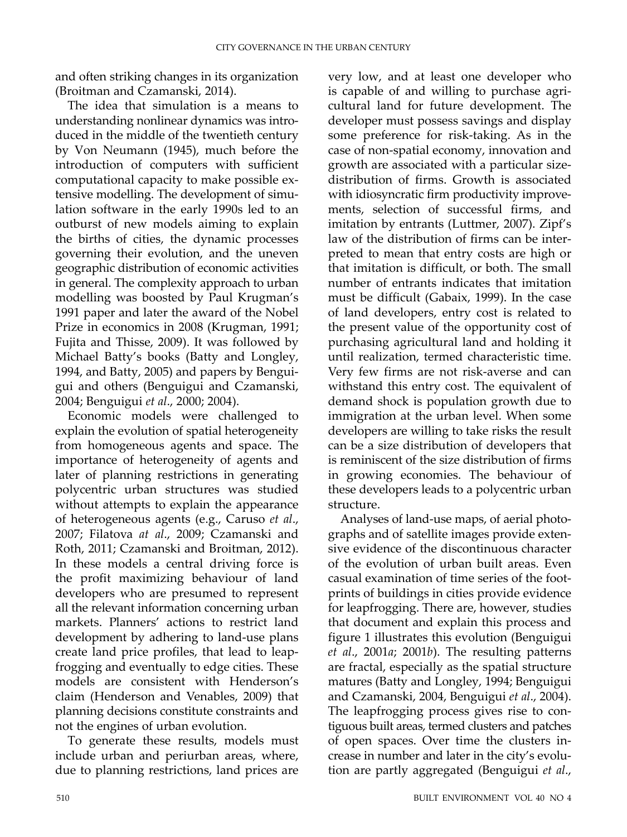and often striking changes in its organization (Broitman and Czamanski, 2014).

The idea that simulation is a means to understanding nonlinear dynamics was introduced in the middle of the twentieth century by Von Neumann (1945), much before the introduction of computers with sufficient computational capacity to make possible extensive modelling. The development of simulation software in the early 1990s led to an outburst of new models aiming to explain the births of cities, the dynamic processes governing their evolution, and the uneven geographic distribution of economic activities in general. The complexity approach to urban modelling was boosted by Paul Krugman's 1991 paper and later the award of the Nobel Prize in economics in 2008 (Krugman, 1991; Fujita and Thisse, 2009). It was followed by Michael Batty's books (Batty and Longley, 1994, and Batty, 2005) and papers by Benguigui and others (Benguigui and Czamanski, 2004; Benguigui *et al*., 2000; 2004).

Economic models were challenged to explain the evolution of spatial heterogeneity from homogeneous agents and space. The importance of heterogeneity of agents and later of planning restrictions in generating polycentric urban structures was studied without attempts to explain the appearance of heterogeneous agents (e.g., Caruso *et al*., 2007; Filatova *at al*., 2009; Czamanski and Roth, 2011; Czamanski and Broitman, 2012). In these models a central driving force is the profit maximizing behaviour of land developers who are presumed to represent all the relevant information concerning urban markets. Planners' actions to restrict land development by adhering to land-use plans create land price profiles, that lead to leapfrogging and eventually to edge cities. These models are consistent with Henderson's claim (Henderson and Venables, 2009) that planning decisions constitute constraints and not the engines of urban evolution.

To generate these results, models must include urban and periurban areas, where, due to planning restrictions, land prices are

very low, and at least one developer who is capable of and willing to purchase agricultural land for future development. The developer must possess savings and display some preference for risk-taking. As in the case of non-spatial economy, innovation and growth are associated with a particular sizedistribution of firms. Growth is associated with idiosyncratic firm productivity improvements, selection of successful firms, and imitation by entrants (Luttmer, 2007). Zipf's law of the distribution of firms can be interpreted to mean that entry costs are high or that imitation is difficult, or both. The small number of entrants indicates that imitation must be difficult (Gabaix, 1999). In the case of land developers, entry cost is related to the present value of the opportunity cost of purchasing agricultural land and holding it until realization, termed characteristic time. Very few firms are not risk-averse and can withstand this entry cost. The equivalent of demand shock is population growth due to immigration at the urban level. When some developers are willing to take risks the result can be a size distribution of developers that is reminiscent of the size distribution of firms in growing economies. The behaviour of these developers leads to a polycentric urban structure.

Analyses of land-use maps, of aerial photographs and of satellite images provide extensive evidence of the discontinuous character of the evolution of urban built areas. Even casual examination of time series of the footprints of buildings in cities provide evidence for leapfrogging. There are, however, studies that document and explain this process and figure 1 illustrates this evolution (Benguigui *et al*., 2001*a*; 2001*b*). The resulting patterns are fractal, especially as the spatial structure matures (Batty and Longley, 1994; Benguigui and Czamanski, 2004, Benguigui *et al*., 2004). The leapfrogging process gives rise to contiguous built areas, termed clusters and patches of open spaces. Over time the clusters increase in number and later in the city's evolution are partly aggregated (Benguigui *et al*.,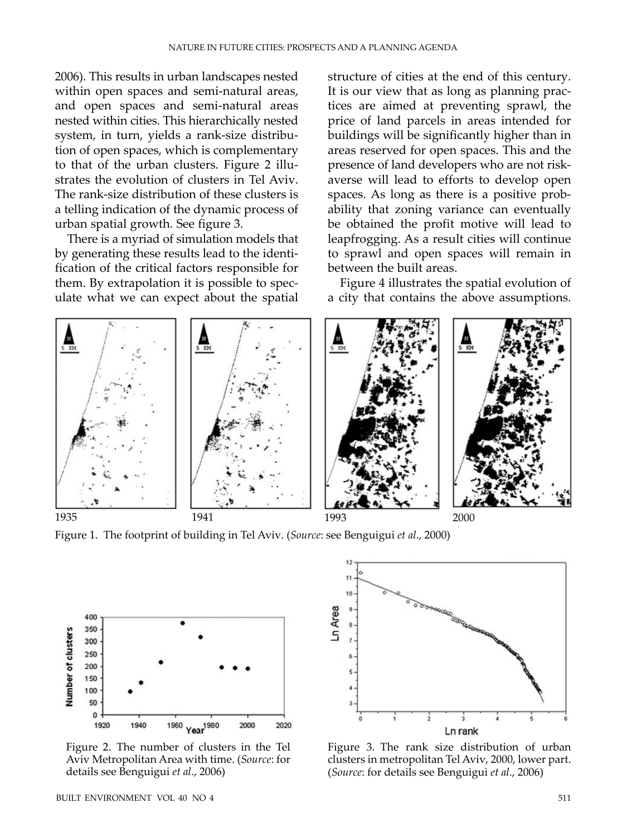2006). This results in urban landscapes nested within open spaces and semi-natural areas, and open spaces and semi-natural areas nested within cities. This hierarchically nested system, in turn, yields a rank-size distribution of open spaces, which is complementary to that of the urban clusters. Figure 2 illustrates the evolution of clusters in Tel Aviv. The rank-size distribution of these clusters is a telling indication of the dynamic process of urban spatial growth. See figure 3.

There is a myriad of simulation models that by generating these results lead to the identification of the critical factors responsible for them. By extrapolation it is possible to speculate what we can expect about the spatial

structure of cities at the end of this century. It is our view that as long as planning practices are aimed at preventing sprawl, the price of land parcels in areas intended for buildings will be significantly higher than in areas reserved for open spaces. This and the presence of land developers who are not riskaverse will lead to efforts to develop open spaces. As long as there is a positive probability that zoning variance can eventually be obtained the profit motive will lead to leapfrogging. As a result cities will continue to sprawl and open spaces will remain in between the built areas.

Figure 4 illustrates the spatial evolution of a city that contains the above assumptions.



Figure 1. The footprint of building in Tel Aviv. (*Source*: see Benguigui *et al*., 2000)



Figure 2. The number of clusters in the Tel Aviv Metropolitan Area with time. (*Source*: for details see Benguigui *et al*., 2006)



Figure 3. The rank size distribution of urban clusters in metropolitan Tel Aviv, 2000, lower part. (*Source*: for details see Benguigui *et al*., 2006)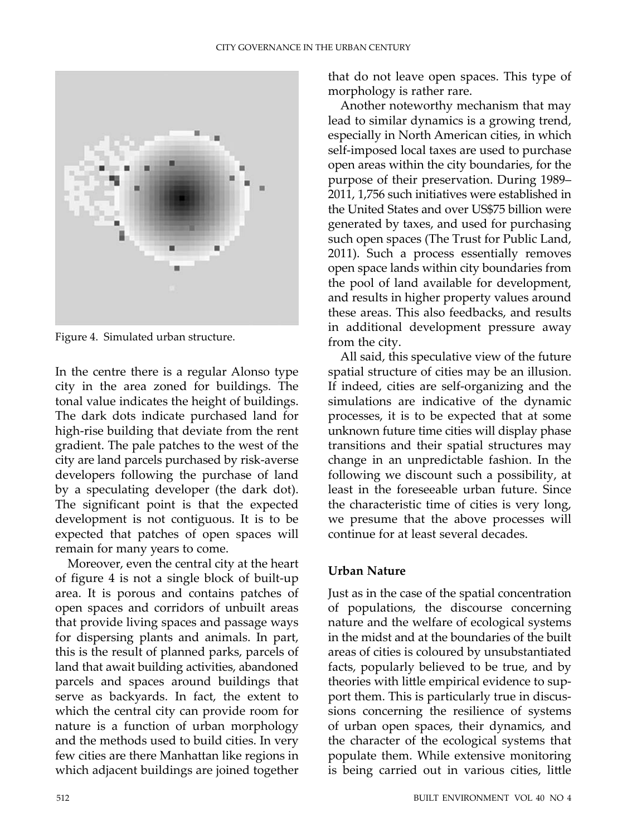

Figure 4. Simulated urban structure.

In the centre there is a regular Alonso type city in the area zoned for buildings. The tonal value indicates the height of buildings. The dark dots indicate purchased land for high-rise building that deviate from the rent gradient. The pale patches to the west of the city are land parcels purchased by risk-averse developers following the purchase of land by a speculating developer (the dark dot). The significant point is that the expected development is not contiguous. It is to be expected that patches of open spaces will remain for many years to come.

Moreover, even the central city at the heart of figure 4 is not a single block of built-up area. It is porous and contains patches of open spaces and corridors of unbuilt areas that provide living spaces and passage ways for dispersing plants and animals. In part, this is the result of planned parks, parcels of land that await building activities, abandoned parcels and spaces around buildings that serve as backyards. In fact, the extent to which the central city can provide room for nature is a function of urban morphology and the methods used to build cities. In very few cities are there Manhattan like regions in which adjacent buildings are joined together

that do not leave open spaces. This type of morphology is rather rare.

Another noteworthy mechanism that may lead to similar dynamics is a growing trend, especially in North American cities, in which self-imposed local taxes are used to purchase open areas within the city boundaries, for the purpose of their preservation. During 1989– 2011, 1,756 such initiatives were established in the United States and over US\$75 billion were generated by taxes, and used for purchasing such open spaces (The Trust for Public Land, 2011). Such a process essentially removes open space lands within city boundaries from the pool of land available for development, and results in higher property values around these areas. This also feedbacks, and results in additional development pressure away from the city.

All said, this speculative view of the future spatial structure of cities may be an illusion. If indeed, cities are self-organizing and the simulations are indicative of the dynamic processes, it is to be expected that at some unknown future time cities will display phase transitions and their spatial structures may change in an unpredictable fashion. In the following we discount such a possibility, at least in the foreseeable urban future. Since the characteristic time of cities is very long, we presume that the above processes will continue for at least several decades.

# **Urban Nature**

Just as in the case of the spatial concentration of populations, the discourse concerning nature and the welfare of ecological systems in the midst and at the boundaries of the built areas of cities is coloured by unsubstantiated facts, popularly believed to be true, and by theories with little empirical evidence to support them. This is particularly true in discussions concerning the resilience of systems of urban open spaces, their dynamics, and the character of the ecological systems that populate them. While extensive monitoring is being carried out in various cities, little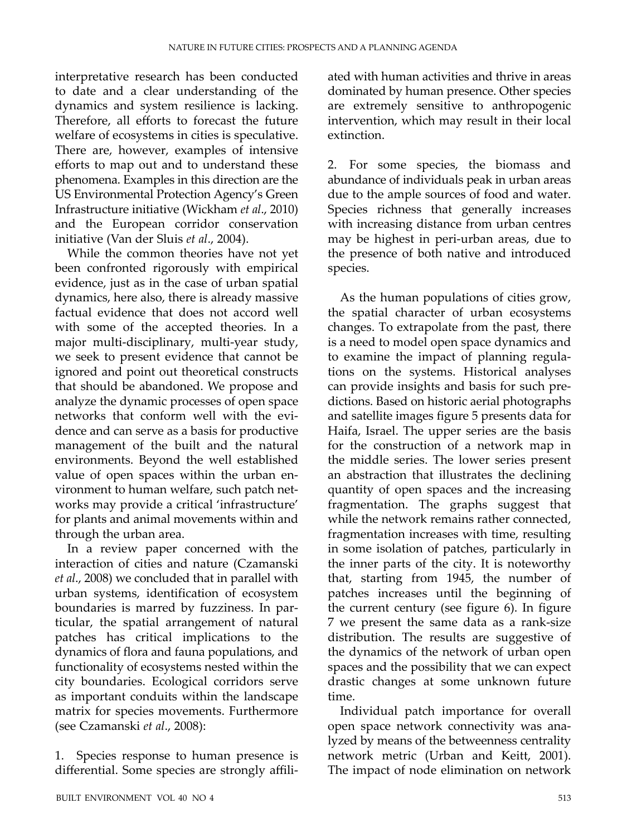interpretative research has been conducted to date and a clear understanding of the dynamics and system resilience is lacking. Therefore, all efforts to forecast the future welfare of ecosystems in cities is speculative. There are, however, examples of intensive efforts to map out and to understand these phenomena. Examples in this direction are the US Environmental Protection Agency's Green Infrastructure initiative (Wickham *et al*., 2010) and the European corridor conservation initiative (Van der Sluis *et al*., 2004).

While the common theories have not yet been confronted rigorously with empirical evidence, just as in the case of urban spatial dynamics, here also, there is already massive factual evidence that does not accord well with some of the accepted theories. In a major multi-disciplinary, multi-year study, we seek to present evidence that cannot be ignored and point out theoretical constructs that should be abandoned. We propose and analyze the dynamic processes of open space networks that conform well with the evidence and can serve as a basis for productive management of the built and the natural environments. Beyond the well established value of open spaces within the urban environment to human welfare, such patch networks may provide a critical 'infrastructure' for plants and animal movements within and through the urban area.

In a review paper concerned with the interaction of cities and nature (Czamanski *et al*., 2008) we concluded that in parallel with urban systems, identification of ecosystem boundaries is marred by fuzziness. In particular, the spatial arrangement of natural patches has critical implications to the dynamics of flora and fauna populations, and functionality of ecosystems nested within the city boundaries. Ecological corridors serve as important conduits within the landscape matrix for species movements. Furthermore (see Czamanski *et al*., 2008):

1. Species response to human presence is differential. Some species are strongly affili-

ated with human activities and thrive in areas dominated by human presence. Other species are extremely sensitive to anthropogenic intervention, which may result in their local extinction.

2. For some species, the biomass and abundance of individuals peak in urban areas due to the ample sources of food and water. Species richness that generally increases with increasing distance from urban centres may be highest in peri-urban areas, due to the presence of both native and introduced species.

As the human populations of cities grow, the spatial character of urban ecosystems changes. To extrapolate from the past, there is a need to model open space dynamics and to examine the impact of planning regulations on the systems. Historical analyses can provide insights and basis for such predictions. Based on historic aerial photographs and satellite images figure 5 presents data for Haifa, Israel. The upper series are the basis for the construction of a network map in the middle series. The lower series present an abstraction that illustrates the declining quantity of open spaces and the increasing fragmentation. The graphs suggest that while the network remains rather connected, fragmentation increases with time, resulting in some isolation of patches, particularly in the inner parts of the city. It is noteworthy that, starting from 1945, the number of patches increases until the beginning of the current century (see figure 6). In figure 7 we present the same data as a rank-size distribution. The results are suggestive of the dynamics of the network of urban open spaces and the possibility that we can expect drastic changes at some unknown future time.

Individual patch importance for overall open space network connectivity was analyzed by means of the betweenness centrality network metric (Urban and Keitt, 2001). The impact of node elimination on network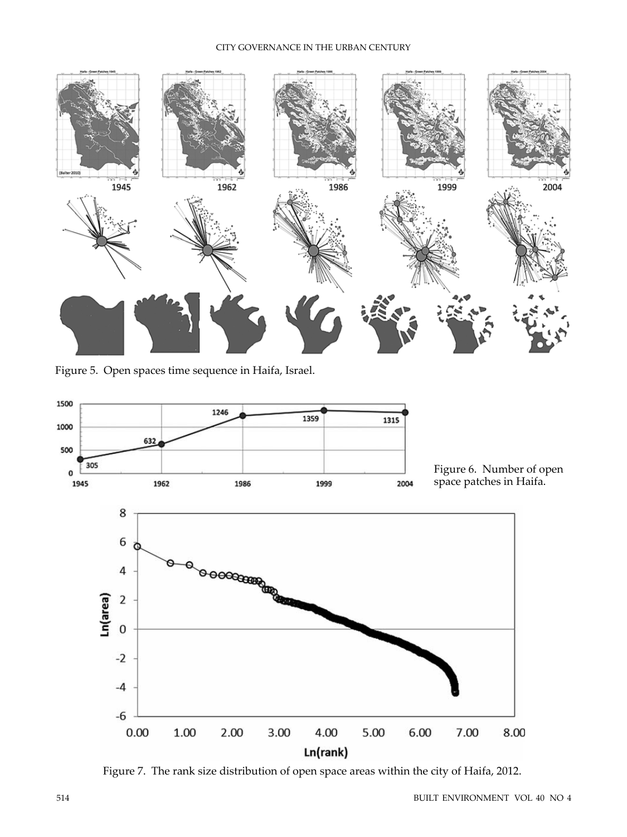#### CITY GOVERNANCE IN THE URBAN CENTURY



Figure 5. Open spaces time sequence in Haifa, Israel.



Figure 7. The rank size distribution of open space areas within the city of Haifa, 2012.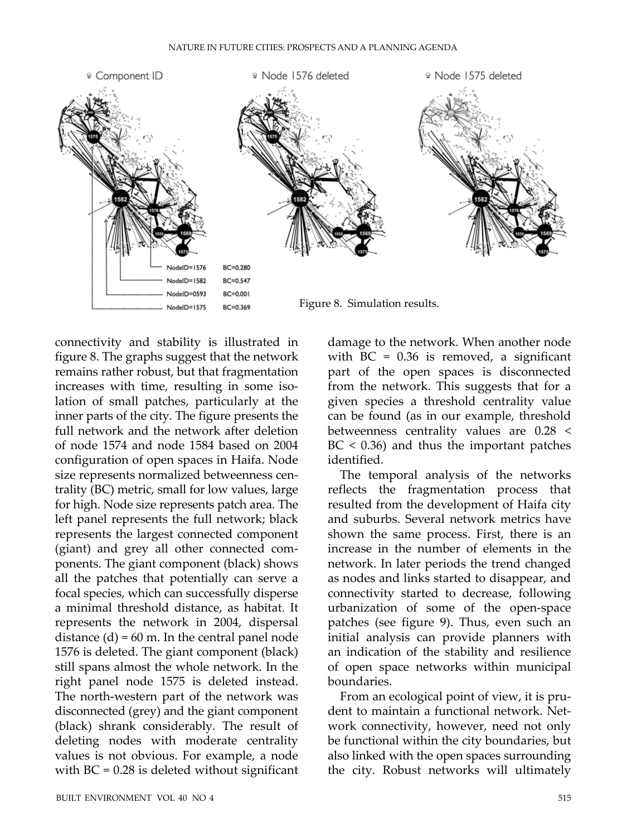

connectivity and stability is illustrated in figure 8. The graphs suggest that the network remains rather robust, but that fragmentation increases with time, resulting in some isolation of small patches, particularly at the inner parts of the city. The figure presents the full network and the network after deletion of node 1574 and node 1584 based on 2004 configuration of open spaces in Haifa. Node size represents normalized betweenness centrality (BC) metric, small for low values, large for high. Node size represents patch area. The left panel represents the full network; black represents the largest connected component (giant) and grey all other connected components. The giant component (black) shows all the patches that potentially can serve a focal species, which can successfully disperse a minimal threshold distance, as habitat. It represents the network in 2004, dispersal distance  $(d) = 60$  m. In the central panel node 1576 is deleted. The giant component (black) still spans almost the whole network. In the right panel node 1575 is deleted instead. The north-western part of the network was disconnected (grey) and the giant component (black) shrank considerably*.* The result of deleting nodes with moderate centrality values is not obvious. For example, a node with  $BC = 0.28$  is deleted without significant

damage to the network. When another node with  $BC = 0.36$  is removed, a significant part of the open spaces is disconnected from the network. This suggests that for a given species a threshold centrality value can be found (as in our example, threshold betweenness centrality values are 0.28 <  $BC < 0.36$ ) and thus the important patches identified.

The temporal analysis of the networks reflects the fragmentation process that resulted from the development of Haifa city and suburbs. Several network metrics have shown the same process. First, there is an increase in the number of elements in the network. In later periods the trend changed as nodes and links started to disappear, and connectivity started to decrease, following urbanization of some of the open-space patches (see figure 9). Thus, even such an initial analysis can provide planners with an indication of the stability and resilience of open space networks within municipal boundaries.

From an ecological point of view, it is prudent to maintain a functional network. Network connectivity, however, need not only be functional within the city boundaries, but also linked with the open spaces surrounding the city. Robust networks will ultimately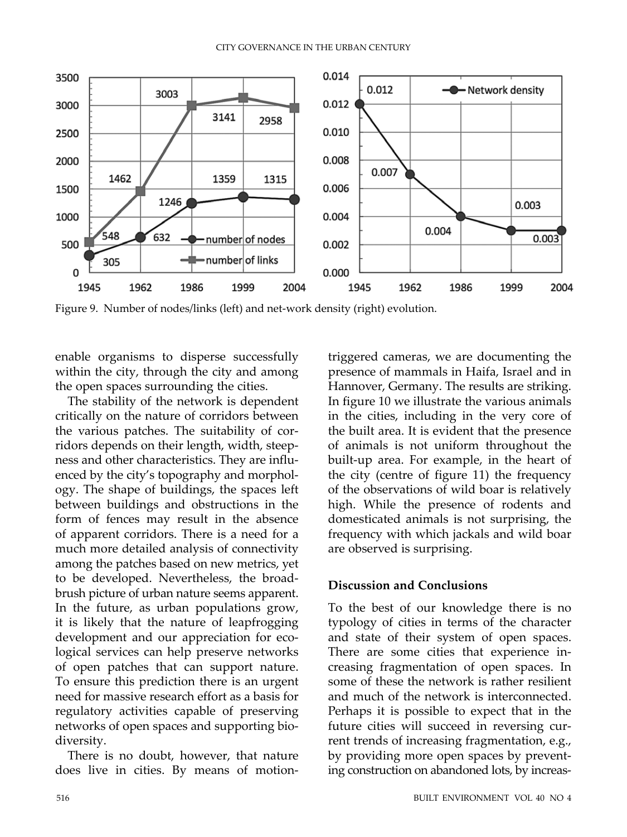

Figure 9. Number of nodes/links (left) and net-work density (right) evolution.

enable organisms to disperse successfully within the city, through the city and among the open spaces surrounding the cities.

The stability of the network is dependent critically on the nature of corridors between the various patches. The suitability of corridors depends on their length, width, steepness and other characteristics. They are influenced by the city's topography and morphology. The shape of buildings, the spaces left between buildings and obstructions in the form of fences may result in the absence of apparent corridors. There is a need for a much more detailed analysis of connectivity among the patches based on new metrics, yet to be developed. Nevertheless, the broadbrush picture of urban nature seems apparent. In the future, as urban populations grow, it is likely that the nature of leapfrogging development and our appreciation for ecological services can help preserve networks of open patches that can support nature. To ensure this prediction there is an urgent need for massive research effort as a basis for regulatory activities capable of preserving networks of open spaces and supporting biodiversity.

There is no doubt, however, that nature does live in cities. By means of motiontriggered cameras, we are documenting the presence of mammals in Haifa, Israel and in Hannover, Germany. The results are striking. In figure 10 we illustrate the various animals in the cities, including in the very core of the built area. It is evident that the presence of animals is not uniform throughout the built-up area. For example, in the heart of the city (centre of figure 11) the frequency of the observations of wild boar is relatively high. While the presence of rodents and domesticated animals is not surprising, the frequency with which jackals and wild boar are observed is surprising.

## **Discussion and Conclusions**

To the best of our knowledge there is no typology of cities in terms of the character and state of their system of open spaces. There are some cities that experience increasing fragmentation of open spaces. In some of these the network is rather resilient and much of the network is interconnected. Perhaps it is possible to expect that in the future cities will succeed in reversing current trends of increasing fragmentation, e.g., by providing more open spaces by preventing construction on abandoned lots, by increas-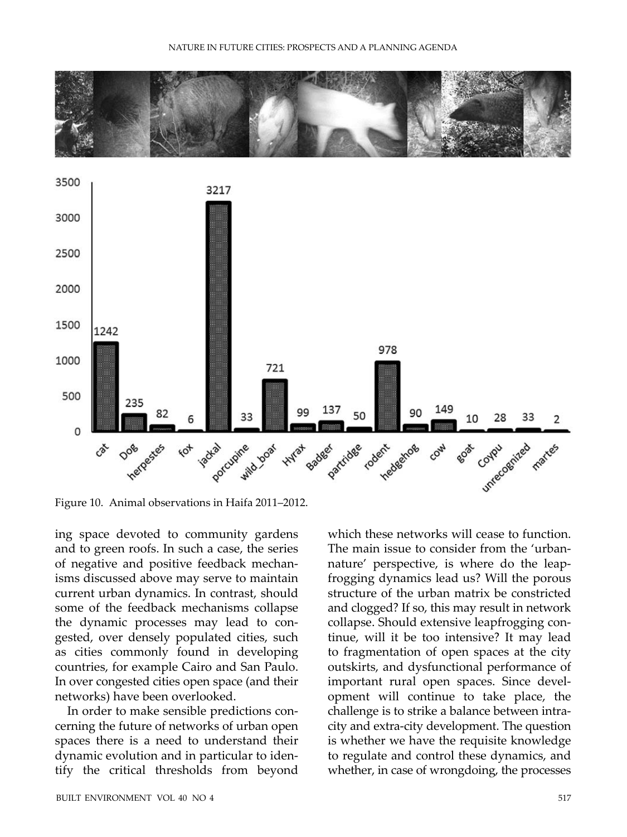



Figure 10. Animal observations in Haifa 2011–2012.

ing space devoted to community gardens and to green roofs. In such a case, the series of negative and positive feedback mechanisms discussed above may serve to maintain current urban dynamics. In contrast, should some of the feedback mechanisms collapse the dynamic processes may lead to congested, over densely populated cities, such as cities commonly found in developing countries, for example Cairo and San Paulo. In over congested cities open space (and their networks) have been overlooked.

In order to make sensible predictions concerning the future of networks of urban open spaces there is a need to understand their dynamic evolution and in particular to identify the critical thresholds from beyond

which these networks will cease to function. The main issue to consider from the 'urbannature' perspective, is where do the leapfrogging dynamics lead us? Will the porous structure of the urban matrix be constricted and clogged? If so, this may result in network collapse. Should extensive leapfrogging continue, will it be too intensive? It may lead to fragmentation of open spaces at the city outskirts, and dysfunctional performance of important rural open spaces. Since development will continue to take place, the challenge is to strike a balance between intracity and extra-city development. The question is whether we have the requisite knowledge to regulate and control these dynamics, and whether, in case of wrongdoing, the processes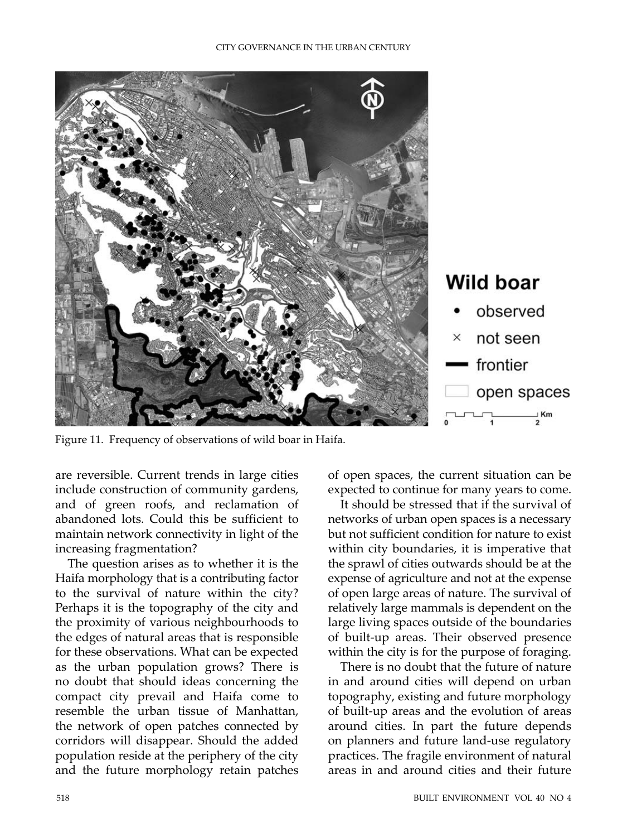

Figure 11. Frequency of observations of wild boar in Haifa.

are reversible. Current trends in large cities include construction of community gardens, and of green roofs, and reclamation of abandoned lots. Could this be sufficient to maintain network connectivity in light of the increasing fragmentation?

The question arises as to whether it is the Haifa morphology that is a contributing factor to the survival of nature within the city? Perhaps it is the topography of the city and the proximity of various neighbourhoods to the edges of natural areas that is responsible for these observations. What can be expected as the urban population grows? There is no doubt that should ideas concerning the compact city prevail and Haifa come to resemble the urban tissue of Manhattan, the network of open patches connected by corridors will disappear. Should the added population reside at the periphery of the city and the future morphology retain patches

of open spaces, the current situation can be expected to continue for many years to come.

It should be stressed that if the survival of networks of urban open spaces is a necessary but not sufficient condition for nature to exist within city boundaries, it is imperative that the sprawl of cities outwards should be at the expense of agriculture and not at the expense of open large areas of nature. The survival of relatively large mammals is dependent on the large living spaces outside of the boundaries of built-up areas. Their observed presence within the city is for the purpose of foraging.

There is no doubt that the future of nature in and around cities will depend on urban topography, existing and future morphology of built-up areas and the evolution of areas around cities. In part the future depends on planners and future land-use regulatory practices. The fragile environment of natural areas in and around cities and their future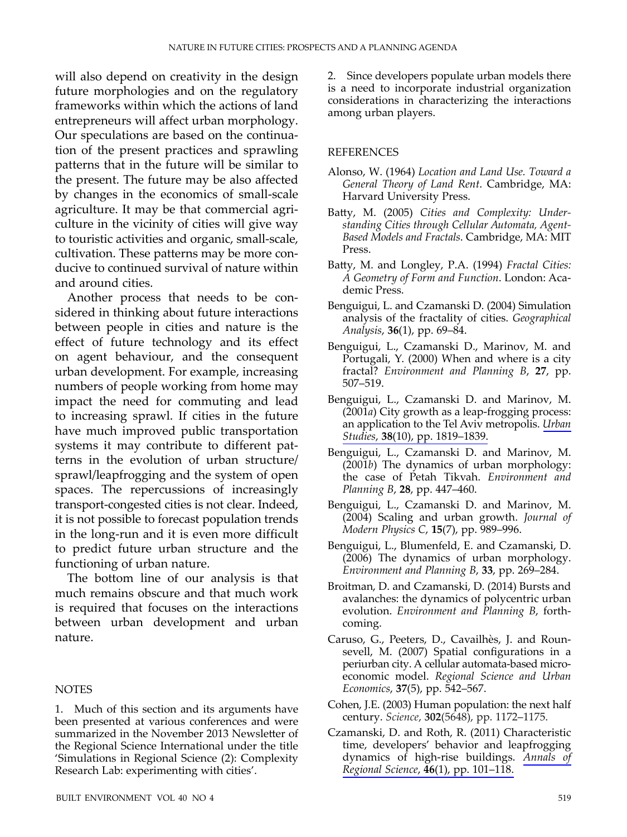will also depend on creativity in the design future morphologies and on the regulatory frameworks within which the actions of land entrepreneurs will affect urban morphology. Our speculations are based on the continuation of the present practices and sprawling patterns that in the future will be similar to the present. The future may be also affected by changes in the economics of small-scale agriculture. It may be that commercial agriculture in the vicinity of cities will give way to touristic activities and organic, small-scale, cultivation. These patterns may be more conducive to continued survival of nature within and around cities.

Another process that needs to be considered in thinking about future interactions between people in cities and nature is the effect of future technology and its effect on agent behaviour, and the consequent urban development. For example, increasing numbers of people working from home may impact the need for commuting and lead to increasing sprawl. If cities in the future have much improved public transportation systems it may contribute to different patterns in the evolution of urban structure/ sprawl/leapfrogging and the system of open spaces. The repercussions of increasingly transport-congested cities is not clear. Indeed, it is not possible to forecast population trends in the long-run and it is even more difficult to predict future urban structure and the functioning of urban nature.

The bottom line of our analysis is that much remains obscure and that much work is required that focuses on the interactions between urban development and urban nature.

#### **NOTES**

1. Much of this section and its arguments have been presented at various conferences and were summarized in the November 2013 Newsletter of the Regional Science International under the title 'Simulations in Regional Science (2): Complexity Research Lab: experimenting with cities'.

2. Since developers populate urban models there is a need to incorporate industrial organization considerations in characterizing the interactions among urban players.

### REFERENCES

- Alonso, W. (1964) *Location and Land Use. Toward a General Theory of Land Rent*. Cambridge, MA: Harvard University Press.
- Batty, M. (2005) Cities and Complexity: Under*standing Cities through Cellular Automata, Agent-Based Models and Fractals*. Cambridge, MA: MIT Press.
- Batty, M. and Longley, P.A. (1994) *Fractal Cities: A Geometry of Form and Function*. London: Academic Press.
- Benguigui, L. and Czamanski D. (2004) Simulation analysis of the fractality of cities. *Geographical Analysis*, **36**(1), pp. 69–84.
- Benguigui, L., Czamanski D., Marinov, M. and Portugali, Y. (2000) When and where is a city fractal? *Environment and Planning B*, **27**, pp. 507–519.
- Benguigui, L., Czamanski D. and Marinov, M. (2001*a*) City growth as a leap-frogging process: an application to the Tel Aviv metropolis. *[Urban](http://www.ingentaconnect.com/content/external-references?article=0042-0980()38:10L.1819[aid=10472391])  Studies*, **38**[\(10\), pp. 1819–1839.](http://www.ingentaconnect.com/content/external-references?article=0042-0980()38:10L.1819[aid=10472391])
- Benguigui, L., Czamanski D. and Marinov, M. (2001*b*) The dynamics of urban morphology: the case of Petah Tikvah. *Environment and Planning B*, **28**, pp. 447–460.
- Benguigui, L., Czamanski D. and Marinov, M. (2004) Scaling and urban growth. *Journal of Modern Physics C*, **15**(7), pp. 989–996.
- Benguigui, L., Blumenfeld, E. and Czamanski, D. (2006) The dynamics of urban morphology. *Environment and Planning B*, **33**, pp. 269–284.
- Broitman, D. and Czamanski, D. (2014) Bursts and avalanches: the dynamics of polycentric urban evolution. *Environment and Planning B*, forthcoming.
- Caruso, G., Peeters, D., Cavailhès, J. and Rounsevell, M. (2007) Spatial configurations in a periurban city. A cellular automata-based microeconomic model. *Regional Science and Urban Economics*, **37**(5), pp. 542–567.
- Cohen, J.E. (2003) Human population: the next half century. *Science*, **302**(5648), pp. 1172–1175.
- Czamanski, D. and Roth, R. (2011) Characteristic time, developers' behavior and leapfrogging dynamics of high-rise buildings. *[Annals of](http://www.ingentaconnect.com/content/external-references?article=0570-1864()46:1L.101[aid=10472388])  Regional Science*, **46**[\(1\), pp. 101–118.](http://www.ingentaconnect.com/content/external-references?article=0570-1864()46:1L.101[aid=10472388])